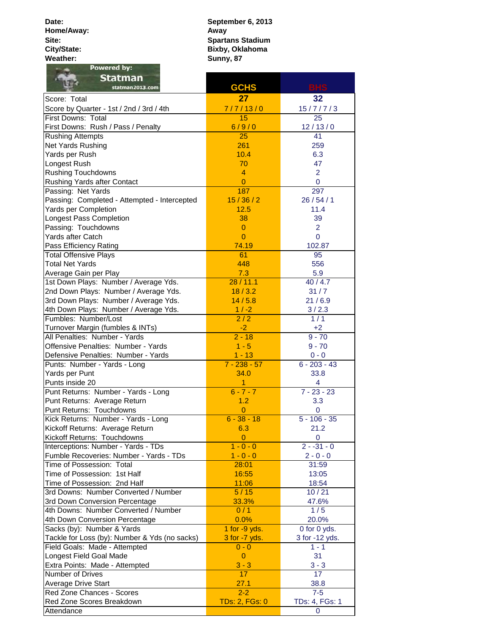**Date: Home/Away: Site: City/State:** Weather:<br>**Powered by:**  **Sunny, 87 September 6, 2013 Away Spartans Stadium Bixby, Oklahoma**

| <b>Statman</b><br>statman2013.com                                   | <b>GCHS</b>           | <b>BHS</b>         |
|---------------------------------------------------------------------|-----------------------|--------------------|
| Score: Total                                                        | 27                    | 32                 |
| Score by Quarter - 1st / 2nd / 3rd / 4th                            | 7/7/13/0              | 15/7/7/3           |
| First Downs: Total                                                  | 15                    | 25                 |
| First Downs: Rush / Pass / Penalty                                  | 6/9/0                 | 12/13/0            |
| <b>Rushing Attempts</b>                                             | 25                    | 41                 |
| Net Yards Rushing                                                   | 261                   | 259                |
| Yards per Rush                                                      | 10.4                  | 6.3                |
| Longest Rush                                                        | 70                    | 47                 |
| <b>Rushing Touchdowns</b>                                           | $\overline{4}$        | $\overline{2}$     |
| Rushing Yards after Contact                                         | $\overline{0}$        | $\mathbf 0$        |
| Passing: Net Yards                                                  | 187                   | 297                |
| Passing: Completed - Attempted - Intercepted                        | 15/36/2               | 26/54/1            |
| Yards per Completion                                                | 12.5                  | 11.4               |
| Longest Pass Completion                                             | 38                    | 39                 |
| Passing: Touchdowns                                                 | $\overline{0}$        | $\overline{2}$     |
| Yards after Catch                                                   | $\overline{0}$        | $\mathbf 0$        |
| Pass Efficiency Rating                                              | 74.19                 | 102.87             |
| <b>Total Offensive Plays</b>                                        | 61                    | 95                 |
| <b>Total Net Yards</b>                                              | 448                   | 556                |
| Average Gain per Play                                               | 7.3                   | 5.9                |
| 1st Down Plays: Number / Average Yds.                               | 28/11.1               | 40/4.7             |
| 2nd Down Plays: Number / Average Yds.                               | 18/3.2                | 31/7               |
| 3rd Down Plays: Number / Average Yds.                               | 14/5.8                | 21/6.9             |
| 4th Down Plays: Number / Average Yds.                               | $1 / -2$              | 3/2.3              |
| Fumbles: Number/Lost                                                | $\overline{2/2}$      | 1/1                |
| Turnover Margin (fumbles & INTs)                                    | $-2$                  | $+2$               |
| All Penalties: Number - Yards                                       | $2 - 18$              | $9 - 70$           |
| Offensive Penalties: Number - Yards                                 | $1 - 5$               | $9 - 70$           |
| Defensive Penalties: Number - Yards                                 | $1 - 13$              | $0 - 0$            |
| Punts: Number - Yards - Long                                        | $7 - 238 - 57$        | $6 - 203 - 43$     |
| Yards per Punt                                                      | 34.0<br>1             | 33.8               |
| Punts inside 20                                                     | $6 - 7 - 7$           | 4<br>$7 - 23 - 23$ |
| Punt Returns: Number - Yards - Long<br>Punt Returns: Average Return | 1.2                   | 3.3                |
| Punt Returns: Touchdowns                                            | $\overline{0}$        | 0                  |
| Kick Returns: Number - Yards - Long                                 | $6 - 38 - 18$         | $5 - 106 - 35$     |
| Kickoff Returns: Average Return                                     | 6.3                   | 21.2               |
| Kickoff Returns: Touchdowns                                         | $\overline{0}$        | 0                  |
| Interceptions: Number - Yards - TDs                                 | $1 - 0 - 0$           | $2 - -31 - 0$      |
| Fumble Recoveries: Number - Yards - TDs                             | $1 - 0 - 0$           | $2 - 0 - 0$        |
| Time of Possession: Total                                           | 28:01                 | 31:59              |
| Time of Possession: 1st Half                                        | 16:55                 | 13:05              |
| Time of Possession: 2nd Half                                        | 11:06                 | 18:54              |
| 3rd Downs: Number Converted / Number                                | 5/15                  | 10/21              |
| 3rd Down Conversion Percentage                                      | 33.3%                 | 47.6%              |
| 4th Downs: Number Converted / Number                                | 0/1                   | 1/5                |
| 4th Down Conversion Percentage                                      | 0.0%                  | 20.0%              |
| Sacks (by): Number & Yards                                          | 1 for -9 yds.         | 0 for 0 yds.       |
| Tackle for Loss (by): Number & Yds (no sacks)                       | 3 for -7 yds.         | 3 for -12 yds.     |
| Field Goals: Made - Attempted                                       | $0 - 0$               | $1 - 1$            |
| Longest Field Goal Made                                             | $\overline{0}$        | 31                 |
| Extra Points: Made - Attempted                                      | $3 - 3$               | $3 - 3$            |
| Number of Drives                                                    | 17 <sup>2</sup>       | 17                 |
| <b>Average Drive Start</b>                                          | 27.1                  | 38.8               |
| Red Zone Chances - Scores                                           | $2 - 2$               | $7-5$              |
| Red Zone Scores Breakdown                                           | <b>TDs: 2, FGs: 0</b> | TDs: 4, FGs: 1     |
| Attendance                                                          |                       | $\overline{0}$     |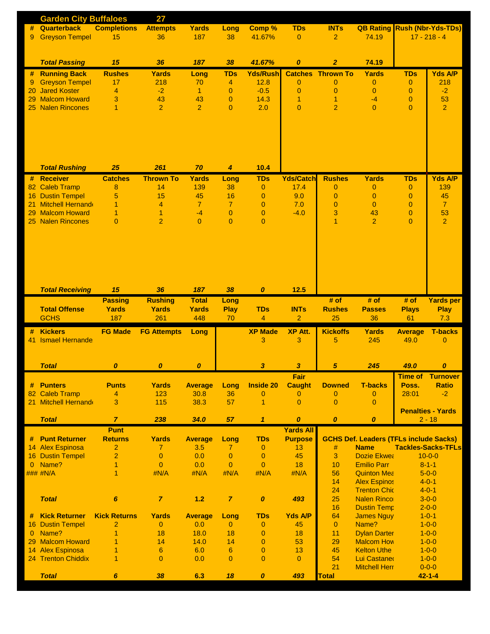| #<br>9          | <b>Garden City Buffaloes</b>                    |                     | 27                                |                      |                      |                                  |                                  |                                  |                                               |                                  |                             |
|-----------------|-------------------------------------------------|---------------------|-----------------------------------|----------------------|----------------------|----------------------------------|----------------------------------|----------------------------------|-----------------------------------------------|----------------------------------|-----------------------------|
|                 | Quarterback                                     | <b>Completions</b>  | <b>Attempts</b>                   | <b>Yards</b>         | Long                 | Comp %                           | <b>TDs</b>                       | <b>INTs</b>                      | <b>QB Rating Rush (Nbr-Yds-TDs)</b>           |                                  |                             |
|                 | <b>Greyson Tempel</b>                           | 15                  | 36                                | 187                  | 38                   | 41.67%                           | $\overline{0}$                   | $\overline{2}$                   | 74.19                                         |                                  | $17 - 218 - 4$              |
|                 |                                                 |                     |                                   |                      |                      |                                  |                                  |                                  |                                               |                                  |                             |
|                 |                                                 | 15                  | 36                                | 187                  | 38                   | 41.67%                           |                                  |                                  | 74.19                                         |                                  |                             |
|                 | <b>Total Passing</b>                            |                     |                                   |                      |                      |                                  | $\boldsymbol{o}$                 | $\overline{2}$                   |                                               |                                  |                             |
|                 | # Running Back<br><b>Greyson Tempel</b>         | <b>Rushes</b><br>17 | <b>Yards</b><br>218               | Long<br>70           | <b>TDs</b>           | <b>Yds/Rush</b><br>12.8          |                                  | <b>Catches Thrown To</b>         | Yards                                         | <b>TDs</b>                       | <b>Yds A/P</b><br>218       |
| 9<br>20         | <b>Jared Koster</b>                             | $\overline{4}$      | $-2$                              | $\blacktriangleleft$ | 4<br>$\overline{0}$  | $-0.5$                           | $\overline{0}$<br>$\overline{0}$ | $\overline{0}$<br>$\overline{0}$ | 0<br>$\overline{0}$                           | $\overline{0}$<br>$\overline{0}$ | $-2$                        |
| 29              | <b>Malcom Howard</b>                            | 3                   | 43                                | 43                   | $\mathbf{0}$         | 14.3                             | 1                                | 1                                | $-4$                                          | $\overline{0}$                   | 53                          |
| 25              | <b>Nalen Rincones</b>                           | 1                   | $\overline{2}$                    | $\overline{2}$       | $\overline{0}$       | 2.0                              | $\overline{0}$                   | $\overline{2}$                   | $\Omega$                                      | $\overline{0}$                   | $\overline{2}$              |
|                 |                                                 |                     |                                   |                      |                      |                                  |                                  |                                  |                                               |                                  |                             |
|                 |                                                 |                     |                                   |                      |                      |                                  |                                  |                                  |                                               |                                  |                             |
|                 |                                                 |                     |                                   |                      |                      |                                  |                                  |                                  |                                               |                                  |                             |
|                 |                                                 |                     |                                   |                      |                      |                                  |                                  |                                  |                                               |                                  |                             |
|                 |                                                 |                     |                                   |                      |                      |                                  |                                  |                                  |                                               |                                  |                             |
|                 |                                                 |                     |                                   |                      |                      |                                  |                                  |                                  |                                               |                                  |                             |
|                 | <b>Total Rushing</b>                            | 25                  | 261                               | 70                   | $\boldsymbol{4}$     | 10.4                             |                                  |                                  |                                               |                                  |                             |
|                 | # Receiver                                      | <b>Catches</b>      | <b>Thrown To</b>                  | <b>Yards</b>         | Long                 | <b>TDs</b>                       | <b>Yds/Catch</b>                 | <b>Rushes</b>                    | Yards                                         | <b>TDs</b>                       | <b>Yds A/P</b>              |
| 82              | <b>Caleb Tramp</b>                              | 8                   | 14                                | 139                  | 38                   | $\mathbf{0}$                     | 17.4                             | $\mathbf{0}$                     | 0                                             | $\theta$                         | 139                         |
| 16              | <b>Dustin Tempel</b><br><b>Mitchell Hernand</b> | 5                   | 15<br>4                           | 45<br>$\overline{7}$ | 16<br>$\overline{7}$ | $\overline{0}$                   | 9.0<br>7.0                       | $\overline{0}$<br>$\overline{0}$ | $\mathbf{0}$<br>$\overline{0}$                | $\overline{0}$                   | 45<br>$\overline{7}$        |
| 21<br>29        | <b>Malcom Howard</b>                            | 1<br>1              | $\overline{1}$                    | $-4$                 | $\mathbf{0}$         | $\overline{0}$<br>$\overline{0}$ | $-4.0$                           | 3                                | 43                                            | $\overline{0}$<br>$\overline{0}$ | 53                          |
|                 | 25 Nalen Rincones                               | $\overline{0}$      | $\overline{2}$                    | $\Omega$             | $\Omega$             | $\overline{0}$                   |                                  | 1                                | $\overline{2}$                                | $\overline{0}$                   | $\overline{2}$              |
|                 |                                                 |                     |                                   |                      |                      |                                  |                                  |                                  |                                               |                                  |                             |
|                 |                                                 |                     |                                   |                      |                      |                                  |                                  |                                  |                                               |                                  |                             |
|                 |                                                 |                     |                                   |                      |                      |                                  |                                  |                                  |                                               |                                  |                             |
|                 |                                                 |                     |                                   |                      |                      |                                  |                                  |                                  |                                               |                                  |                             |
|                 |                                                 |                     |                                   |                      |                      |                                  |                                  |                                  |                                               |                                  |                             |
|                 |                                                 |                     |                                   |                      |                      |                                  |                                  |                                  |                                               |                                  |                             |
|                 |                                                 |                     |                                   |                      |                      |                                  |                                  |                                  |                                               |                                  |                             |
|                 | <b>Total Receiving</b>                          | 15                  | 36                                | 187                  | 38                   | $\boldsymbol{0}$                 | 12.5                             |                                  |                                               |                                  |                             |
|                 |                                                 | <b>Passing</b>      | <b>Rushing</b>                    | <b>Total</b>         | Long                 |                                  |                                  | # of                             | # of                                          | # of                             | <b>Yards per</b>            |
|                 | <b>Total Offense</b><br><b>GCHS</b>             | Yards<br>187        | Yards<br>261                      | Yards<br>448         | <b>Play</b><br>70    | <b>TDs</b><br>$\overline{4}$     | <b>INTs</b><br>$\overline{2}$    | <b>Rushes</b><br>25              | <b>Passes</b><br>36                           | <b>Plays</b><br>61               | <b>Play</b><br>7.3          |
|                 |                                                 |                     |                                   |                      |                      |                                  |                                  |                                  |                                               |                                  |                             |
| #               | <b>Kickers</b>                                  |                     |                                   |                      |                      |                                  |                                  |                                  |                                               |                                  |                             |
|                 |                                                 | <b>FG Made</b>      | <b>FG Attempts</b>                | Long                 |                      | <b>XP Made</b>                   | <b>XP Att.</b>                   | <b>Kickoffs</b>                  | <b>Yards</b>                                  | <b>Average</b>                   | <b>T-backs</b>              |
| 41              | <b>Ismael Hernande</b>                          |                     |                                   |                      |                      | 3                                | 3                                | 5                                | 245                                           | 49.0                             | $\mathbf{0}$                |
|                 |                                                 |                     |                                   |                      |                      |                                  |                                  |                                  |                                               |                                  |                             |
|                 |                                                 |                     |                                   |                      |                      |                                  |                                  |                                  |                                               |                                  |                             |
|                 | <b>Total</b>                                    | $\boldsymbol{o}$    | 0                                 | $\boldsymbol{o}$     |                      | 3                                | $\boldsymbol{\mathsf{3}}$        | 5                                | 245                                           | 49.0                             | $\boldsymbol{o}$            |
|                 |                                                 |                     |                                   |                      |                      |                                  | Fair                             |                                  |                                               | <b>Time of</b>                   | <b>Turnover</b>             |
| #               | <b>Punters</b>                                  | <b>Punts</b>        | <b>Yards</b>                      | <b>Average</b>       | Long                 | <b>Inside 20</b>                 | <b>Caught</b>                    | <b>Downed</b>                    | <b>T-backs</b>                                | Poss.                            | <b>Ratio</b>                |
| 82              | <b>Caleb Tramp</b>                              | 4                   | 123                               | 30.8                 | 36                   | $\overline{0}$                   | $\overline{0}$                   | $\mathbf 0$                      | $\mathbf{0}$                                  | 28:01                            | $-2$                        |
|                 | 21 Mitchell Hernand                             | 3                   | 115                               | 38.3                 | 57                   | $\mathbf{1}$                     | $\overline{0}$                   | $\overline{0}$                   | $\overline{0}$                                |                                  | <b>Penalties - Yards</b>    |
|                 | <b>Total</b>                                    | $\overline{7}$      | 238                               | 34.0                 | 57                   | $\mathbf{1}$                     | 0                                | $\boldsymbol{o}$                 | $\boldsymbol{0}$                              |                                  | $2 - 18$                    |
|                 |                                                 | <b>Punt</b>         |                                   |                      |                      |                                  | <b>Yards All</b>                 |                                  |                                               |                                  |                             |
|                 | # Punt Returner                                 | <b>Returns</b>      | <b>Yards</b>                      | <b>Average</b>       | Long                 | <b>TDs</b>                       | <b>Purpose</b>                   |                                  | <b>GCHS Def. Leaders (TFLs include Sacks)</b> |                                  |                             |
|                 | 14 Alex Espinosa                                | $\overline{2}$      | $\overline{7}$                    | 3.5                  | 7                    | 0                                | 13                               | #                                | <b>Name</b>                                   |                                  | <b>Tackles-Sacks-TFLs</b>   |
|                 | <b>16 Dustin Tempel</b>                         | $\overline{2}$      | $\pmb{0}$                         | 0.0                  | $\mathbf{0}$         | $\mathbf{0}$                     | 45                               | 3                                | <b>Dozie Ekwea</b>                            |                                  | $10 - 0 - 0$                |
| $\mathbf{0}$    | Name?                                           | 1                   | $\bf 0$                           | 0.0                  | $\overline{0}$       | $\overline{0}$                   | 18                               | 10                               | <b>Emilio Parr</b>                            |                                  | $8 - 1 - 1$                 |
|                 | ### #N/A                                        | 1                   | #N/A                              | #N/A                 | #N/A                 | #N/A                             | #N/A                             | 56                               | <b>Quinton Mea</b>                            |                                  | $5 - 0 - 0$                 |
|                 |                                                 |                     |                                   |                      |                      |                                  |                                  | 14                               | <b>Alex Espinos</b>                           |                                  | $4 - 0 - 1$                 |
|                 |                                                 |                     |                                   |                      |                      |                                  |                                  | 24                               | <b>Trenton Chic</b>                           |                                  | $4 - 0 - 1$                 |
|                 | <b>Total</b>                                    | $\pmb{6}$           | $\boldsymbol{7}$                  | $1.2$                | $\overline{7}$       | $\pmb{\mathit{0}}$               | 493                              | 25                               | <b>Nalen Rinco</b>                            |                                  | $3 - 0 - 0$                 |
|                 |                                                 |                     |                                   |                      |                      |                                  |                                  | 16                               | <b>Dustin Temp</b>                            |                                  | $2 - 0 - 0$                 |
|                 | <b>Kick Returner</b>                            | <b>Kick Returns</b> | <b>Yards</b>                      | <b>Average</b>       | Long                 | <b>TDs</b>                       | <b>Yds A/P</b>                   | 64                               | <b>James Nguy</b>                             |                                  | $1 - 0 - 1$                 |
| 16              | <b>Dustin Tempel</b>                            | 2                   | $\overline{0}$                    | 0.0                  | $\mathbf{0}$         | 0                                | 45                               | $\overline{0}$                   | Name?                                         |                                  | $1 - 0 - 0$                 |
| $\mathbf{0}$    | Name?                                           | 1                   | 18                                | 18.0                 | 18                   | $\mathbf{0}$                     | 18                               | 11                               | <b>Dylan Darter</b>                           |                                  | $1 - 0 - 0$                 |
| 29              | <b>Malcom Howard</b>                            | 1                   | 14                                | 14.0                 | 14                   | $\overline{0}$                   | 53                               | 29                               | <b>Malcom How</b>                             |                                  | $1 - 0 - 0$                 |
| 14 <sup>1</sup> | <b>Alex Espinosa</b>                            | 1<br>1              | $6\phantom{1}6$<br>$\overline{0}$ | 6.0                  | 6<br>$\overline{0}$  | $\overline{0}$<br>$\overline{0}$ | 13<br>$\overline{0}$             | 45                               | <b>Kelton Uthe</b>                            |                                  | $1 - 0 - 0$                 |
|                 | 24 Trenton Chiddix                              |                     |                                   | 0.0                  |                      |                                  |                                  | 54                               | Lui Castane<br><b>Mitchell Herr</b>           |                                  | $1 - 0 - 0$                 |
|                 | <b>Total</b>                                    | 6                   | 38                                | 6.3                  | 18                   | $\boldsymbol{o}$                 | 493                              | 21<br><b>Total</b>               |                                               |                                  | $0 - 0 - 0$<br>$42 - 1 - 4$ |